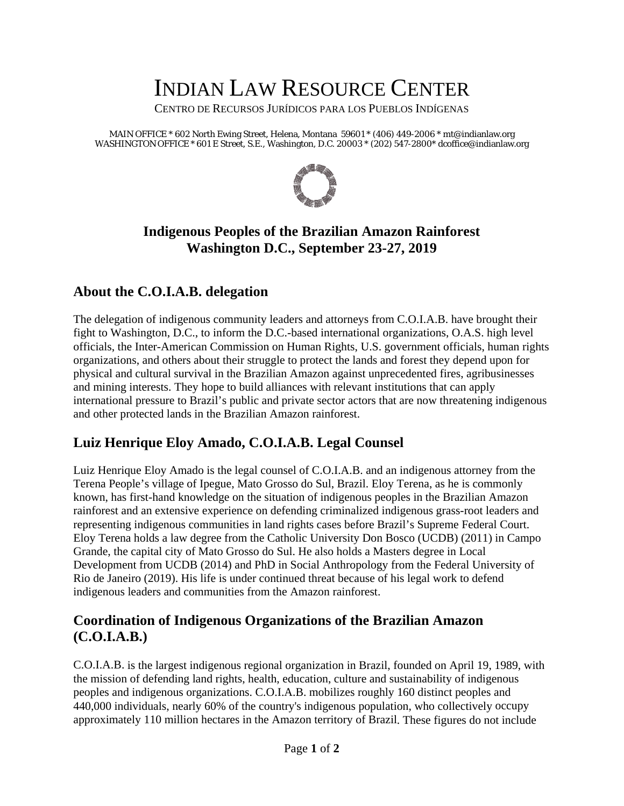# INDIAN LAW RESOURCE CENTER

CENTRO DE RECURSOS JURÍDICOS PARA LOS PUEBLOS INDÍGENAS

MAIN OFFICE \* 602 North Ewing Street, Helena, Montana 59601 \* (406) 449-2006 \* mt@indianlaw.org WASHINGTON OFFICE \* 601 E Street, S.E., Washington, D.C. 20003 \* (202) 547-2800\* dcoffice@indianlaw.org



## **Indigenous Peoples of the Brazilian Amazon Rainforest Washington D.C., September 23-27, 2019**

## **About the C.O.I.A.B. delegation**

The delegation of indigenous community leaders and attorneys from C.O.I.A.B. have brought their fight to Washington, D.C., to inform the D.C.-based international organizations, O.A.S. high level officials, the Inter-American Commission on Human Rights, U.S. government officials, human rights organizations, and others about their struggle to protect the lands and forest they depend upon for physical and cultural survival in the Brazilian Amazon against unprecedented fires, agribusinesses and mining interests. They hope to build alliances with relevant institutions that can apply international pressure to Brazil's public and private sector actors that are now threatening indigenous and other protected lands in the Brazilian Amazon rainforest.

## **Luiz Henrique Eloy Amado, C.O.I.A.B. Legal Counsel**

Luiz Henrique Eloy Amado is the legal counsel of C.O.I.A.B. and an indigenous attorney from the Terena People's village of Ipegue, Mato Grosso do Sul, Brazil. Eloy Terena, as he is commonly known, has first-hand knowledge on the situation of indigenous peoples in the Brazilian Amazon rainforest and an extensive experience on defending criminalized indigenous grass-root leaders and representing indigenous communities in land rights cases before Brazil's Supreme Federal Court. Eloy Terena holds a law degree from the Catholic University Don Bosco (UCDB) (2011) in Campo Grande, the capital city of Mato Grosso do Sul. He also holds a Masters degree in Local Development from UCDB (2014) and PhD in Social Anthropology from the Federal University of Rio de Janeiro (2019). His life is under continued threat because of his legal work to defend indigenous leaders and communities from the Amazon rainforest.

## **Coordination of Indigenous Organizations of the Brazilian Amazon (C.O.I.A.B.)**

C.O.I.A.B. is the largest indigenous regional organization in Brazil, founded on April 19, 1989, with the mission of defending land rights, health, education, culture and sustainability of indigenous peoples and indigenous organizations. C.O.I.A.B. mobilizes roughly 160 distinct peoples and 440,000 individuals, nearly 60% of the country's indigenous population, who collectively occupy approximately 110 million hectares in the Amazon territory of Brazil. These figures do not include